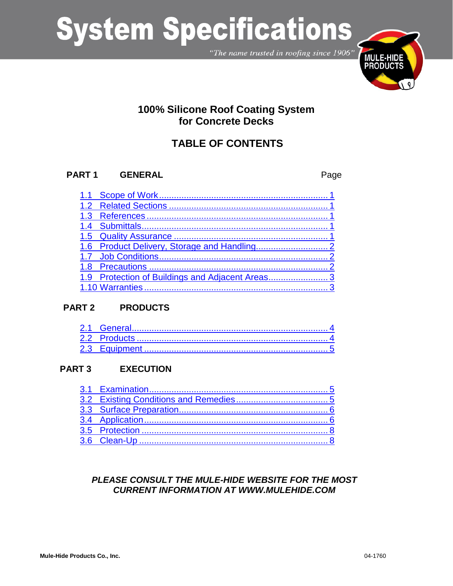# **System Specifications**

"The name trusted in roofing since 1906"



# 100% Silicone Roof Coating System for Concrete Decks

# **TABLE OF CONTENTS**

#### PART<sub>1</sub> **GENERAL**

Page

| 1.9 Protection of Buildings and Adjacent Areas3 |  |
|-------------------------------------------------|--|
|                                                 |  |

#### **PART 2 PRODUCTS**

#### PART<sub>3</sub> **EXECUTION**

## PLEASE CONSULT THE MULE-HIDE WEBSITE FOR THE MOST **CURRENT INFORMATION AT WWW.MULEHIDE.COM**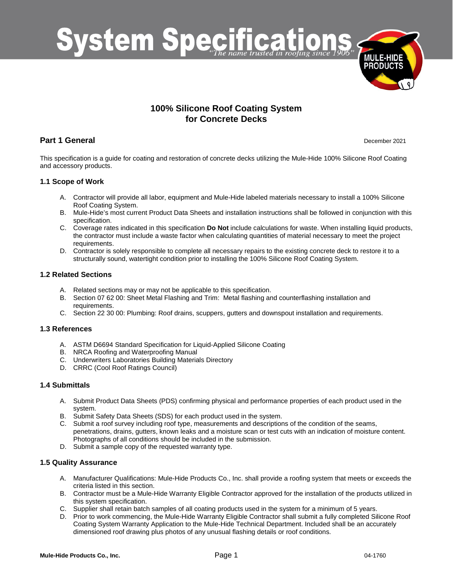

## **100% Silicone Roof Coating System for Concrete Decks**

## **Part 1 General** December 2021

This specification is a guide for coating and restoration of concrete decks utilizing the Mule-Hide 100% Silicone Roof Coating and accessory products.

## <span id="page-1-0"></span>**1.1 Scope of Work**

- A. Contractor will provide all labor, equipment and Mule-Hide labeled materials necessary to install a 100% Silicone Roof Coating System.
- B. Mule-Hide's most current Product Data Sheets and installation instructions shall be followed in conjunction with this specification.
- C. Coverage rates indicated in this specification **Do Not** include calculations for waste. When installing liquid products, the contractor must include a waste factor when calculating quantities of material necessary to meet the project requirements.
- D. Contractor is solely responsible to complete all necessary repairs to the existing concrete deck to restore it to a structurally sound, watertight condition prior to installing the 100% Silicone Roof Coating System.

## <span id="page-1-1"></span>**1.2 Related Sections**

- A. Related sections may or may not be applicable to this specification.
- B. Section 07 62 00: Sheet Metal Flashing and Trim: Metal flashing and counterflashing installation and requirements.
- C. Section 22 30 00: Plumbing: Roof drains, scuppers, gutters and downspout installation and requirements.

## <span id="page-1-2"></span>**1.3 References**

- A. ASTM D6694 Standard Specification for Liquid-Applied Silicone Coating
- B. NRCA Roofing and Waterproofing Manual
- C. Underwriters Laboratories Building Materials Directory
- D. CRRC (Cool Roof Ratings Council)

## <span id="page-1-3"></span>**1.4 Submittals**

- A. Submit Product Data Sheets (PDS) confirming physical and performance properties of each product used in the system.
- B. Submit Safety Data Sheets (SDS) for each product used in the system.
- C. Submit a roof survey including roof type, measurements and descriptions of the condition of the seams, penetrations, drains, gutters, known leaks and a moisture scan or test cuts with an indication of moisture content. Photographs of all conditions should be included in the submission.
- D. Submit a sample copy of the requested warranty type.

## <span id="page-1-4"></span>**1.5 Quality Assurance**

- A. Manufacturer Qualifications: Mule-Hide Products Co., Inc. shall provide a roofing system that meets or exceeds the criteria listed in this section.
- B. Contractor must be a Mule-Hide Warranty Eligible Contractor approved for the installation of the products utilized in this system specification.
- C. Supplier shall retain batch samples of all coating products used in the system for a minimum of 5 years.
- D. Prior to work commencing, the Mule-Hide Warranty Eligible Contractor shall submit a fully completed Silicone Roof Coating System Warranty Application to the Mule-Hide Technical Department. Included shall be an accurately dimensioned roof drawing plus photos of any unusual flashing details or roof conditions.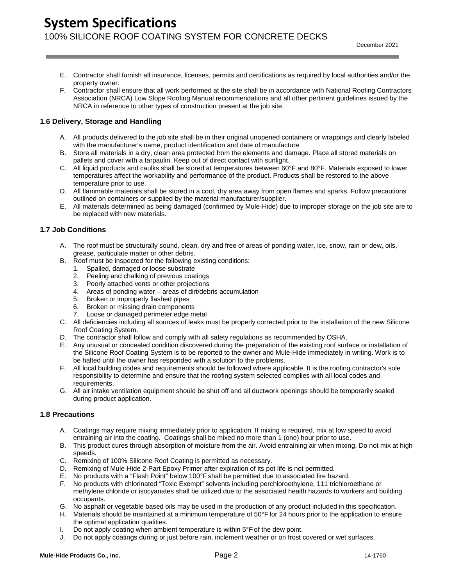- E. Contractor shall furnish all insurance, licenses, permits and certifications as required by local authorities and/or the property owner.
- F. Contractor shall ensure that all work performed at the site shall be in accordance with National Roofing Contractors Association (NRCA) Low Slope Roofing Manual recommendations and all other pertinent guidelines issued by the NRCA in reference to other types of construction present at the job site.

## <span id="page-2-0"></span>**1.6 Delivery, Storage and Handling**

- A. All products delivered to the job site shall be in their original unopened containers or wrappings and clearly labeled with the manufacturer's name, product identification and date of manufacture.
- B. Store all materials in a dry, clean area protected from the elements and damage. Place all stored materials on pallets and cover with a tarpaulin. Keep out of direct contact with sunlight.
- C. All liquid products and caulks shall be stored at temperatures between 60°F and 80°F. Materials exposed to lower temperatures affect the workability and performance of the product. Products shall be restored to the above temperature prior to use.
- D. All flammable materials shall be stored in a cool, dry area away from open flames and sparks. Follow precautions outlined on containers or supplied by the material manufacturer/supplier.
- E. All materials determined as being damaged (confirmed by Mule-Hide) due to improper storage on the job site are to be replaced with new materials.

## <span id="page-2-1"></span>**1.7 Job Conditions**

- A. The roof must be structurally sound, clean, dry and free of areas of ponding water, ice, snow, rain or dew, oils, grease, particulate matter or other debris.
- B. Roof must be inspected for the following existing conditions:
	- 1. Spalled, damaged or loose substrate
	- 2. Peeling and chalking of previous coatings
	- 3. Poorly attached vents or other projections
	- 4. Areas of ponding water areas of dirt/debris accumulation
	- 5. Broken or improperly flashed pipes
	- 6. Broken or missing drain components
	- 7. Loose or damaged perimeter edge metal
- C. All deficiencies including all sources of leaks must be properly corrected prior to the installation of the new Silicone Roof Coating System.
- D. The contractor shall follow and comply with all safety regulations as recommended by OSHA.
- E. Any unusual or concealed condition discovered during the preparation of the existing roof surface or installation of the Silicone Roof Coating System is to be reported to the owner and Mule-Hide immediately in writing. Work is to be halted until the owner has responded with a solution to the problems.
- F. All local building codes and requirements should be followed where applicable. It is the roofing contractor's sole responsibility to determine and ensure that the roofing system selected complies with all local codes and requirements.
- G. All air intake ventilation equipment should be shut off and all ductwork openings should be temporarily sealed during product application.

## <span id="page-2-2"></span>**1.8 Precautions**

- A. Coatings may require mixing immediately prior to application. If mixing is required, mix at low speed to avoid entraining air into the coating. Coatings shall be mixed no more than 1 (one) hour prior to use.
- B. This product cures through absorption of moisture from the air. Avoid entraining air when mixing. Do not mix at high speeds.
- C. Remixing of 100% Silicone Roof Coating is permitted as necessary.
- D. Remixing of Mule-Hide 2-Part Epoxy Primer after expiration of its pot life is not permitted.
- E. No products with a "Flash Point" below 100°F shall be permitted due to associated fire hazard.
- F. No products with chlorinated "Toxic Exempt" solvents including perchloroethylene, 111 trichloroethane or methylene chloride or isocyanates shall be utilized due to the associated health hazards to workers and building occupants.
- G. No asphalt or vegetable based oils may be used in the production of any product included in this specification.
- H. Materials should be maintained at a minimum temperature of 50°F for 24 hours prior to the application to ensure the optimal application qualities.
- I. Do not apply coating when ambient temperature is within 5°F of the dew point.
- J. Do not apply coatings during or just before rain, inclement weather or on frost covered or wet surfaces.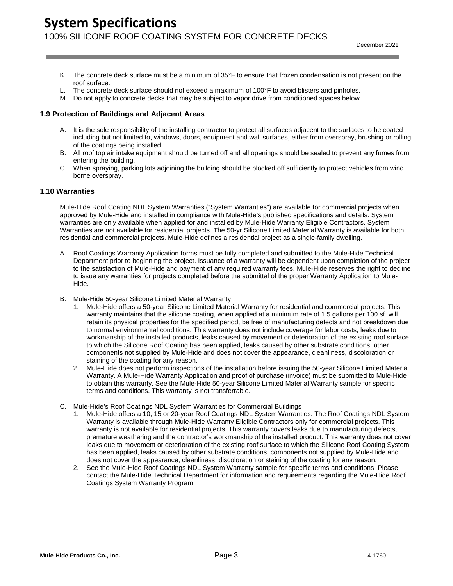- K. The concrete deck surface must be a minimum of 35°F to ensure that frozen condensation is not present on the roof surface.
- L. The concrete deck surface should not exceed a maximum of 100°F to avoid blisters and pinholes.
- M. Do not apply to concrete decks that may be subject to vapor drive from conditioned spaces below.

## <span id="page-3-0"></span>**1.9 Protection of Buildings and Adjacent Areas**

- A. It is the sole responsibility of the installing contractor to protect all surfaces adjacent to the surfaces to be coated including but not limited to, windows, doors, equipment and wall surfaces, either from overspray, brushing or rolling of the coatings being installed.
- B. All roof top air intake equipment should be turned off and all openings should be sealed to prevent any fumes from entering the building.
- C. When spraying, parking lots adjoining the building should be blocked off sufficiently to protect vehicles from wind borne overspray.

## <span id="page-3-1"></span>**1.10 Warranties**

Mule-Hide Roof Coating NDL System Warranties ("System Warranties") are available for commercial projects when approved by Mule-Hide and installed in compliance with Mule-Hide's published specifications and details. System warranties are only available when applied for and installed by Mule-Hide Warranty Eligible Contractors. System Warranties are not available for residential projects. The 50-yr Silicone Limited Material Warranty is available for both residential and commercial projects. Mule-Hide defines a residential project as a single-family dwelling.

- A. Roof Coatings Warranty Application forms must be fully completed and submitted to the Mule-Hide Technical Department prior to beginning the project. Issuance of a warranty will be dependent upon completion of the project to the satisfaction of Mule-Hide and payment of any required warranty fees. Mule-Hide reserves the right to decline to issue any warranties for projects completed before the submittal of the proper Warranty Application to Mule-Hide.
- B. Mule-Hide 50-year Silicone Limited Material Warranty
	- 1. Mule-Hide offers a 50-year Silicone Limited Material Warranty for residential and commercial projects. This warranty maintains that the silicone coating, when applied at a minimum rate of 1.5 gallons per 100 sf. will retain its physical properties for the specified period, be free of manufacturing defects and not breakdown due to normal environmental conditions. This warranty does not include coverage for labor costs, leaks due to workmanship of the installed products, leaks caused by movement or deterioration of the existing roof surface to which the Silicone Roof Coating has been applied, leaks caused by other substrate conditions, other components not supplied by Mule-Hide and does not cover the appearance, cleanliness, discoloration or staining of the coating for any reason.
	- 2. Mule-Hide does not perform inspections of the installation before issuing the 50-year Silicone Limited Material Warranty. A Mule-Hide Warranty Application and proof of purchase (invoice) must be submitted to Mule-Hide to obtain this warranty. See the Mule-Hide 50-year Silicone Limited Material Warranty sample for specific terms and conditions. This warranty is not transferrable.
- C. Mule-Hide's Roof Coatings NDL System Warranties for Commercial Buildings
	- 1. Mule-Hide offers a 10, 15 or 20-year Roof Coatings NDL System Warranties. The Roof Coatings NDL System Warranty is available through Mule-Hide Warranty Eligible Contractors only for commercial projects. This warranty is not available for residential projects. This warranty covers leaks due to manufacturing defects, premature weathering and the contractor's workmanship of the installed product. This warranty does not cover leaks due to movement or deterioration of the existing roof surface to which the Silicone Roof Coating System has been applied, leaks caused by other substrate conditions, components not supplied by Mule-Hide and does not cover the appearance, cleanliness, discoloration or staining of the coating for any reason.
	- 2. See the Mule-Hide Roof Coatings NDL System Warranty sample for specific terms and conditions. Please contact the Mule-Hide Technical Department for information and requirements regarding the Mule-Hide Roof Coatings System Warranty Program.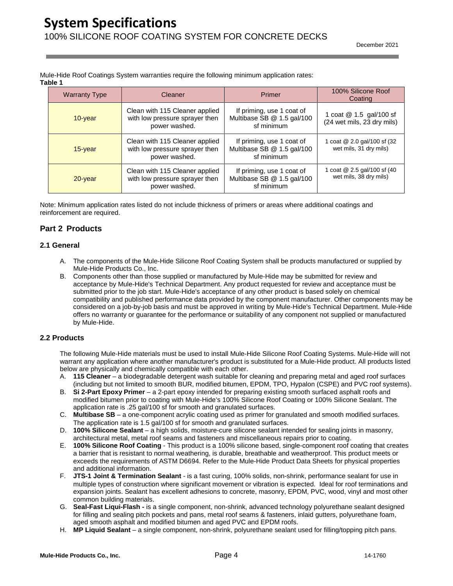Mule-Hide Roof Coatings System warranties require the following minimum application rates: **Table 1**

| <b>Warranty Type</b> | Cleaner                                                                           | Primer                                                                | 100% Silicone Roof<br>Coating                          |
|----------------------|-----------------------------------------------------------------------------------|-----------------------------------------------------------------------|--------------------------------------------------------|
| 10-year              | Clean with 115 Cleaner applied<br>with low pressure sprayer then<br>power washed. | If priming, use 1 coat of<br>Multibase SB @ 1.5 gal/100<br>sf minimum | 1 coat @ 1.5 gal/100 sf<br>(24 wet mils, 23 dry mils)  |
| $15$ -year           | Clean with 115 Cleaner applied<br>with low pressure sprayer then<br>power washed. | If priming, use 1 coat of<br>Multibase SB @ 1.5 gal/100<br>sf minimum | 1 coat @ 2.0 gal/100 sf (32)<br>wet mils, 31 dry mils) |
| $20$ -year           | Clean with 115 Cleaner applied<br>with low pressure sprayer then<br>power washed. | If priming, use 1 coat of<br>Multibase SB @ 1.5 gal/100<br>sf minimum | 1 coat @ 2.5 gal/100 sf (40<br>wet mils, 38 dry mils)  |

Note: Minimum application rates listed do not include thickness of primers or areas where additional coatings and reinforcement are required.

## **Part 2 Products**

## <span id="page-4-0"></span>**2.1 General**

- A. The components of the Mule-Hide Silicone Roof Coating System shall be products manufactured or supplied by Mule-Hide Products Co., Inc.
- B. Components other than those supplied or manufactured by Mule-Hide may be submitted for review and acceptance by Mule-Hide's Technical Department. Any product requested for review and acceptance must be submitted prior to the job start. Mule-Hide's acceptance of any other product is based solely on chemical compatibility and published performance data provided by the component manufacturer. Other components may be considered on a job-by-job basis and must be approved in writing by Mule-Hide's Technical Department. Mule-Hide offers no warranty or guarantee for the performance or suitability of any component not supplied or manufactured by Mule-Hide.

## <span id="page-4-1"></span>**2.2 Products**

The following Mule-Hide materials must be used to install Mule-Hide Silicone Roof Coating Systems. Mule-Hide will not warrant any application where another manufacturer's product is substituted for a Mule-Hide product. All products listed below are physically and chemically compatible with each other.

- A. **115 Cleaner** a biodegradable detergent wash suitable for cleaning and preparing metal and aged roof surfaces (including but not limited to smooth BUR, modified bitumen, EPDM, TPO, Hypalon (CSPE) and PVC roof systems).
- B. **Si 2-Part Epoxy Primer** a 2-part epoxy intended for preparing existing smooth surfaced asphalt roofs and modified bitumen prior to coating with Mule-Hide's 100% Silicone Roof Coating or 100% Silicone Sealant. The application rate is .25 gal/100 sf for smooth and granulated surfaces.
- C. **Multibase SB** a one-component acrylic coating used as primer for granulated and smooth modified surfaces. The application rate is 1.5 gal/100 sf for smooth and granulated surfaces.
- D. **100% Silicone Sealant** a high solids, moisture-cure silicone sealant intended for sealing joints in masonry, architectural metal, metal roof seams and fasteners and miscellaneous repairs prior to coating.
- E. **100% Silicone Roof Coating** This product is a 100% silicone based, single-component roof coating that creates a barrier that is resistant to normal weathering, is durable, breathable and weatherproof. This product meets or exceeds the requirements of ASTM D6694. Refer to the Mule-Hide Product Data Sheets for physical properties and additional information.
- F. **JTS-1 Joint & Termination Sealant** is a fast curing, 100% solids, non-shrink, performance sealant for use in multiple types of construction where significant movement or vibration is expected. Ideal for roof terminations and expansion joints. Sealant has excellent adhesions to concrete, masonry, EPDM, PVC, wood, vinyl and most other common building materials.
- G. **Seal-Fast Liqui-Flash -** is a single component, non-shrink, advanced technology polyurethane sealant designed for filling and sealing pitch pockets and pans, metal roof seams & fasteners, inlaid gutters, polyurethane foam, aged smooth asphalt and modified bitumen and aged PVC and EPDM roofs.
- H. **MP Liquid Sealant** a single component, non-shrink, polyurethane sealant used for filling/topping pitch pans.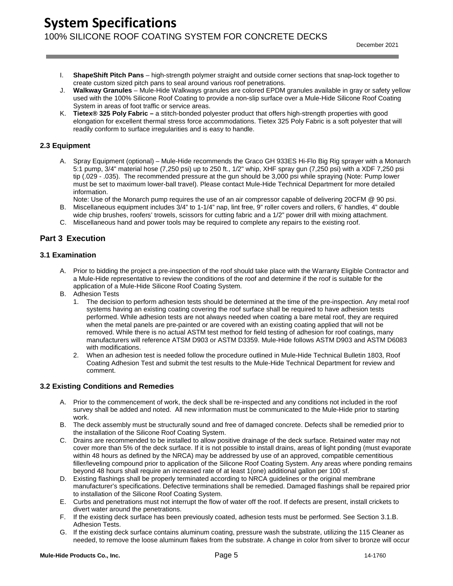# **System Specifications** 100% SILICONE ROOF COATING SYSTEM FOR CONCRETE DECKS

- I. **ShapeShift Pitch Pans** high-strength polymer straight and outside corner sections that snap-lock together to create custom sized pitch pans to seal around various roof penetrations.
- J. **Walkway Granules** Mule-Hide Walkways granules are colored EPDM granules available in gray or safety yellow used with the 100% Silicone Roof Coating to provide a non-slip surface over a Mule-Hide Silicone Roof Coating System in areas of foot traffic or service areas.
- K. **Tietex® 325 Poly Fabric –** a stitch-bonded polyester product that offers high-strength properties with good elongation for excellent thermal stress force accommodations. Tietex 325 Poly Fabric is a soft polyester that will readily conform to surface irregularities and is easy to handle.

## <span id="page-5-0"></span>**2.3 Equipment**

- A. Spray Equipment (optional) Mule-Hide recommends the Graco GH 933ES Hi-Flo Big Rig sprayer with a Monarch 5:1 pump, 3/4" material hose (7,250 psi) up to 250 ft., 1/2" whip, XHF spray gun (7,250 psi) with a XDF 7,250 psi tip (.029 - .035). The recommended pressure at the gun should be 3,000 psi while spraying (Note: Pump lower must be set to maximum lower-ball travel). Please contact Mule-Hide Technical Department for more detailed information.
	- Note: Use of the Monarch pump requires the use of an air compressor capable of delivering 20CFM @ 90 psi.
- B. Miscellaneous equipment includes 3/4" to 1-1/4" nap, lint free, 9" roller covers and rollers, 6' handles, 4" double wide chip brushes, roofers' trowels, scissors for cutting fabric and a 1/2" power drill with mixing attachment.
- C. Miscellaneous hand and power tools may be required to complete any repairs to the existing roof.

## **Part 3 Execution**

## <span id="page-5-1"></span>**3.1 Examination**

- A. Prior to bidding the project a pre-inspection of the roof should take place with the Warranty Eligible Contractor and a Mule-Hide representative to review the conditions of the roof and determine if the roof is suitable for the application of a Mule-Hide Silicone Roof Coating System.
- B. Adhesion Tests
	- 1. The decision to perform adhesion tests should be determined at the time of the pre-inspection. Any metal roof systems having an existing coating covering the roof surface shall be required to have adhesion tests performed. While adhesion tests are not always needed when coating a bare metal roof, they are required when the metal panels are pre-painted or are covered with an existing coating applied that will not be removed. While there is no actual ASTM test method for field testing of adhesion for roof coatings, many manufacturers will reference ATSM D903 or ASTM D3359. Mule-Hide follows ASTM D903 and ASTM D6083 with modifications.
	- 2. When an adhesion test is needed follow the procedure outlined in Mule-Hide Technical Bulletin 1803, Roof Coating Adhesion Test and submit the test results to the Mule-Hide Technical Department for review and comment.

## <span id="page-5-2"></span>**3.2 Existing Conditions and Remedies**

- A. Prior to the commencement of work, the deck shall be re-inspected and any conditions not included in the roof survey shall be added and noted. All new information must be communicated to the Mule-Hide prior to starting work.
- B. The deck assembly must be structurally sound and free of damaged concrete. Defects shall be remedied prior to the installation of the Silicone Roof Coating System.
- C. Drains are recommended to be installed to allow positive drainage of the deck surface. Retained water may not cover more than 5% of the deck surface. If it is not possible to install drains, areas of light ponding (must evaporate within 48 hours as defined by the NRCA) may be addressed by use of an approved, compatible cementitious filler/leveling compound prior to application of the Silicone Roof Coating System. Any areas where ponding remains beyond 48 hours shall require an increased rate of at least 1(one) additional gallon per 100 sf.
- D. Existing flashings shall be properly terminated according to NRCA guidelines or the original membrane manufacturer's specifications. Defective terminations shall be remedied. Damaged flashings shall be repaired prior to installation of the Silicone Roof Coating System.
- E. Curbs and penetrations must not interrupt the flow of water off the roof. If defects are present, install crickets to divert water around the penetrations.
- F. If the existing deck surface has been previously coated, adhesion tests must be performed. See Section 3.1.B. Adhesion Tests.
- G. If the existing deck surface contains aluminum coating, pressure wash the substrate, utilizing the 115 Cleaner as needed, to remove the loose aluminum flakes from the substrate. A change in color from silver to bronze will occur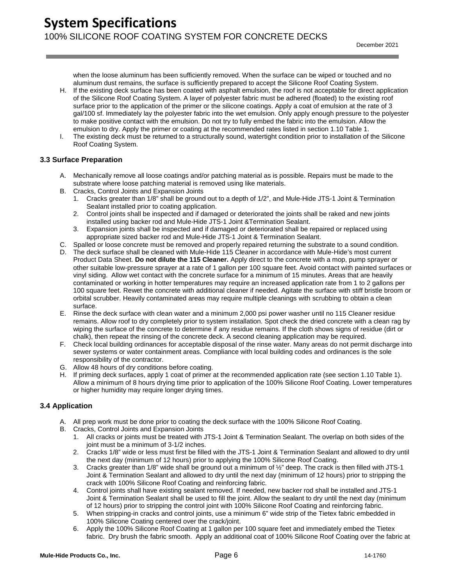when the loose aluminum has been sufficiently removed. When the surface can be wiped or touched and no aluminum dust remains, the surface is sufficiently prepared to accept the Silicone Roof Coating System.

- H. If the existing deck surface has been coated with asphalt emulsion, the roof is not acceptable for direct application of the Silicone Roof Coating System. A layer of polyester fabric must be adhered (floated) to the existing roof surface prior to the application of the primer or the silicone coatings. Apply a coat of emulsion at the rate of 3 gal/100 sf. Immediately lay the polyester fabric into the wet emulsion. Only apply enough pressure to the polyester to make positive contact with the emulsion. Do not try to fully embed the fabric into the emulsion. Allow the emulsion to dry. Apply the primer or coating at the recommended rates listed in section 1.10 Table 1.
- I. The existing deck must be returned to a structurally sound, watertight condition prior to installation of the Silicone Roof Coating System.

## <span id="page-6-0"></span>**3.3 Surface Preparation**

- A. Mechanically remove all loose coatings and/or patching material as is possible. Repairs must be made to the substrate where loose patching material is removed using like materials.
- B. Cracks, Control Joints and Expansion Joints
	- 1. Cracks greater than 1/8" shall be ground out to a depth of 1/2", and Mule-Hide JTS-1 Joint & Termination Sealant installed prior to coating application.
	- 2. Control joints shall be inspected and if damaged or deteriorated the joints shall be raked and new joints installed using backer rod and Mule-Hide JTS-1 Joint &Termination Sealant.
	- 3. Expansion joints shall be inspected and if damaged or deteriorated shall be repaired or replaced using appropriate sized backer rod and Mule-Hide JTS-1 Joint & Termination Sealant.
- C. Spalled or loose concrete must be removed and properly repaired returning the substrate to a sound condition.
- D. The deck surface shall be cleaned with Mule-Hide 115 Cleaner in accordance with Mule-Hide's most current Product Data Sheet. **Do not dilute the 115 Cleaner.** Apply direct to the concrete with a mop, pump sprayer or other suitable low-pressure sprayer at a rate of 1 gallon per 100 square feet. Avoid contact with painted surfaces or vinyl siding. Allow wet contact with the concrete surface for a minimum of 15 minutes. Areas that are heavily contaminated or working in hotter temperatures may require an increased application rate from 1 to 2 gallons per 100 square feet. Rewet the concrete with additional cleaner if needed. Agitate the surface with stiff bristle broom or orbital scrubber. Heavily contaminated areas may require multiple cleanings with scrubbing to obtain a clean surface.
- E. Rinse the deck surface with clean water and a minimum 2,000 psi power washer until no 115 Cleaner residue remains. Allow roof to dry completely prior to system installation. Spot check the dried concrete with a clean rag by wiping the surface of the concrete to determine if any residue remains. If the cloth shows signs of residue (dirt or chalk), then repeat the rinsing of the concrete deck. A second cleaning application may be required.
- F. Check local building ordinances for acceptable disposal of the rinse water. Many areas do not permit discharge into sewer systems or water containment areas. Compliance with local building codes and ordinances is the sole responsibility of the contractor.
- G. Allow 48 hours of dry conditions before coating.
- H. If priming deck surfaces, apply 1 coat of primer at the recommended application rate (see section 1.10 Table 1). Allow a minimum of 8 hours drying time prior to application of the 100% Silicone Roof Coating. Lower temperatures or higher humidity may require longer drying times.

## <span id="page-6-1"></span>**3.4 Application**

- A. All prep work must be done prior to coating the deck surface with the 100% Silicone Roof Coating.
- B. Cracks, Control Joints and Expansion Joints
	- 1. All cracks or joints must be treated with JTS-1 Joint & Termination Sealant. The overlap on both sides of the joint must be a minimum of 3-1/2 inches.
	- 2. Cracks 1/8" wide or less must first be filled with the JTS-1 Joint & Termination Sealant and allowed to dry until the next day (minimum of 12 hours) prior to applying the 100% Silicone Roof Coating.
	- 3. Cracks greater than 1/8" wide shall be ground out a minimum of ½" deep. The crack is then filled with JTS-1 Joint & Termination Sealant and allowed to dry until the next day (minimum of 12 hours) prior to stripping the crack with 100% Silicone Roof Coating and reinforcing fabric.
	- 4. Control joints shall have existing sealant removed. If needed, new backer rod shall be installed and JTS-1 Joint & Termination Sealant shall be used to fill the joint. Allow the sealant to dry until the next day (minimum of 12 hours) prior to stripping the control joint with 100% Silicone Roof Coating and reinforcing fabric.
	- 5. When stripping-in cracks and control joints, use a minimum 6" wide strip of the Tietex fabric embedded in 100% Silicone Coating centered over the crack/joint.
	- 6. Apply the 100% Silicone Roof Coating at 1 gallon per 100 square feet and immediately embed the Tietex fabric. Dry brush the fabric smooth. Apply an additional coat of 100% Silicone Roof Coating over the fabric at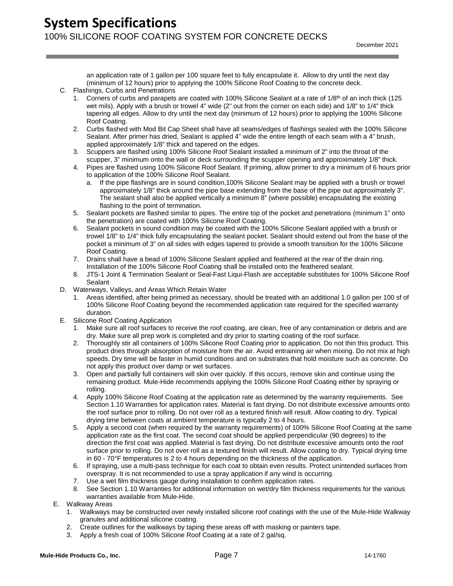an application rate of 1 gallon per 100 square feet to fully encapsulate it. Allow to dry until the next day (minimum of 12 hours) prior to applying the 100% Silicone Roof Coating to the concrete deck.

- C. Flashings, Curbs and Penetrations
	- 1. Corners of curbs and parapets are coated with 100% Silicone Sealant at a rate of  $1/8<sup>th</sup>$  of an inch thick (125 wet mils). Apply with a brush or trowel 4" wide (2" out from the corner on each side) and 1/8" to 1/4" thick tapering all edges. Allow to dry until the next day (minimum of 12 hours) prior to applying the 100% Silicone Roof Coating.
	- 2. Curbs flashed with Mod Bit Cap Sheet shall have all seams/edges of flashings sealed with the 100% Silicone Sealant. After primer has dried, Sealant is applied 4" wide the entire length of each seam with a 4" brush, applied approximately 1/8" thick and tapered on the edges.
	- 3. Scuppers are flashed using 100% Silicone Roof Sealant installed a minimum of 2" into the throat of the scupper, 3" minimum onto the wall or deck surrounding the scupper opening and approximately 1/8" thick.
	- 4. Pipes are flashed using 100% Silicone Roof Sealant. If priming, allow primer to dry a minimum of 6 hours prior to application of the 100% Silicone Roof Sealant.
		- a. If the pipe flashings are in sound condition,100% Silicone Sealant may be applied with a brush or trowel approximately 1/8" thick around the pipe base extending from the base of the pipe out approximately 3". The sealant shall also be applied vertically a minimum 8" (where possible) encapsulating the existing flashing to the point of termination.
	- 5. Sealant pockets are flashed similar to pipes. The entire top of the pocket and penetrations (minimum 1" onto the penetration) are coated with 100% Silicone Roof Coating.
	- 6. Sealant pockets in sound condition may be coated with the 100% Silicone Sealant applied with a brush or trowel 1/8" to 1/4" thick fully encapsulating the sealant pocket. Sealant should extend out from the base of the pocket a minimum of 3" on all sides with edges tapered to provide a smooth transition for the 100% Silicone Roof Coating.
	- 7. Drains shall have a bead of 100% Silicone Sealant applied and feathered at the rear of the drain ring. Installation of the 100% Silicone Roof Coating shall be installed onto the feathered sealant.
	- 8. JTS-1 Joint & Termination Sealant or Seal-Fast Liqui-Flash are acceptable substitutes for 100% Silicone Roof **Sealant**
- D. Waterways, Valleys, and Areas Which Retain Water
	- 1. Areas identified, after being primed as necessary, should be treated with an additional 1.0 gallon per 100 sf of 100% Silicone Roof Coating beyond the recommended application rate required for the specified warranty duration.
- E. Silicone Roof Coating Application
	- 1. Make sure all roof surfaces to receive the roof coating, are clean, free of any contamination or debris and are dry. Make sure all prep work is completed and dry prior to starting coating of the roof surface.
	- 2. Thoroughly stir all containers of 100% Silicone Roof Coating prior to application. Do not thin this product. This product dries through absorption of moisture from the air. Avoid entraining air when mixing. Do not mix at high speeds. Dry time will be faster in humid conditions and on substrates that hold moisture such as concrete. Do not apply this product over damp or wet surfaces.
	- 3. Open and partially full containers will skin over quickly. If this occurs, remove skin and continue using the remaining product. Mule-Hide recommends applying the 100% Silicone Roof Coating either by spraying or rolling.
	- 4. Apply 100% Silicone Roof Coating at the application rate as determined by the warranty requirements. See Section 1.10 Warranties for application rates. Material is fast drying. Do not distribute excessive amounts onto the roof surface prior to rolling. Do not over roll as a textured finish will result. Allow coating to dry. Typical drying time between coats at ambient temperature is typically 2 to 4 hours.
	- 5. Apply a second coat (when required by the warranty requirements) of 100% Silicone Roof Coating at the same application rate as the first coat. The second coat should be applied perpendicular (90 degrees) to the direction the first coat was applied. Material is fast drying. Do not distribute excessive amounts onto the roof surface prior to rolling. Do not over roll as a textured finish will result. Allow coating to dry. Typical drying time in 60 - 70°F temperatures is 2 to 4 hours depending on the thickness of the application.
	- 6. If spraying, use a multi-pass technique for each coat to obtain even results. Protect unintended surfaces from overspray. It is not recommended to use a spray application if any wind is occurring.
	- 7. Use a wet film thickness gauge during installation to confirm application rates.
	- 8. See Section 1.10 Warranties for additional information on wet/dry film thickness requirements for the various warranties available from Mule-Hide.
- E. Walkway Areas
	- 1. Walkways may be constructed over newly installed silicone roof coatings with the use of the Mule-Hide Walkway granules and additional silicone coating.
	- 2. Create outlines for the walkways by taping these areas off with masking or painters tape.
	- 3. Apply a fresh coat of 100% Silicone Roof Coating at a rate of 2 gal/sq.